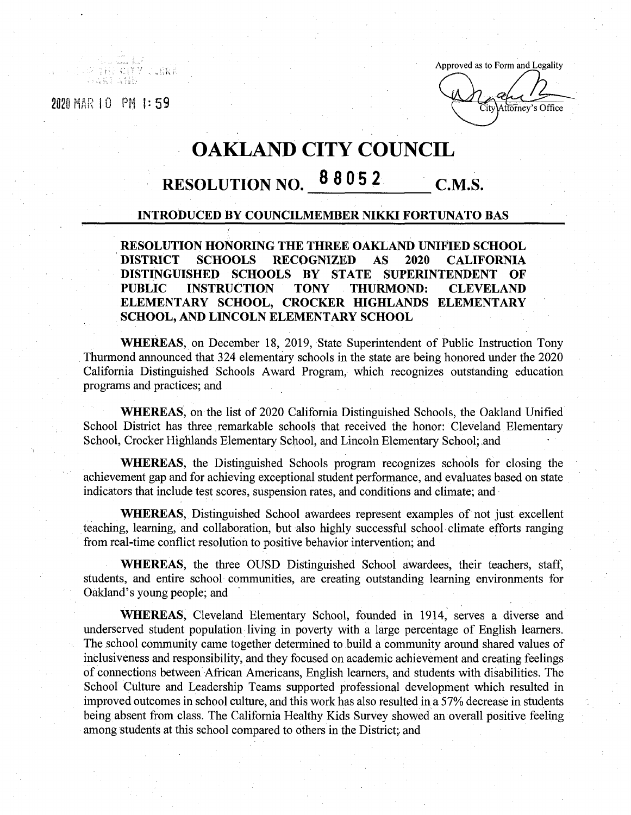THE CITY

**CLERA** 

Approved as to Form and Legality **2020 HAR**  $\parallel$  **D PM h i 59 E Extending EXECUTION EXECUTION EXECUTION EXECUTION** 

## **OAKLAND CITY COUNCIL**

## **<sup>8</sup> <sup>8</sup> 052 RESOLUTION NO. C.M.S.**

## **INTRODUCED BY COUNCILMEMBER NIKKI FORTUNATO BAS**

**RESOLUTION HONORING THE THREE OAKLAND UNIFIED SCHOOL DISTRICT SCHOOLS RECOGNIZED AS 2020 CALIFORNIA DISTINGUISHED SCHOOLS BY STATE SUPERINTENDENT OF PUBLIC INSTRUCTION TONY THURMOND: CLEVELAND ELEMENTARY SCHOOL, CROCKER HIGHLANDS ELEMENTARY SCHOOL, AND LINCOLN ELEMENTARY SCHOOL**

**WHEREAS,** on December 18, 2019, State Superintendent of Public Instruction Tony Thurmond announced that 324 elementary schools in the state are being honored under the 2020 California Distinguished Schools Award Program, which recognizes outstanding education programs and practices; and

**WHEREAS,** on the list of 2020 California Distinguished Schools, the Oakland Unified School District has three remarkable schools that received the honor: Cleveland Elementary School, Crocker Highlands Elementary School, and Lincoln Elementary School; and

**WHEREAS,** the Distinguished Schools program recognizes schools for closing the achievement gap and for achieving exceptional student performance, and evaluates based on state indicators that include test scores, suspension rates, and conditions and climate; and

**WHEREAS,** Distinguished School awardees represent examples of not just excellent teaching, learning, and collaboration, but also highly successful school climate efforts ranging from real-time conflict resolution to positive behavior intervention; and

**WHEREAS,** the three OUSD Distinguished School awardees, their teachers, staff, students, and entire school communities, are creating outstanding learning environments for Oakland's young people; and

**WHEREAS,** Cleveland Elementary School, founded in 1914, serves a diverse and underserved student population living in poverty with a large percentage of English learners. The school community came together determined to build a community around shared values of inclusiveness and responsibility, and they focused on academic achievement and creating feelings of connections between African Americans, English learners, and students with disabilities. The School Culture and Leadership Teams supported professional development which resulted in improved outcomes in school culture, and this work has also resulted in a 57% decrease in students being absent from class. The California Healthy Kids Survey showed an overall positive feeling among students at this school compared to others in the District; and